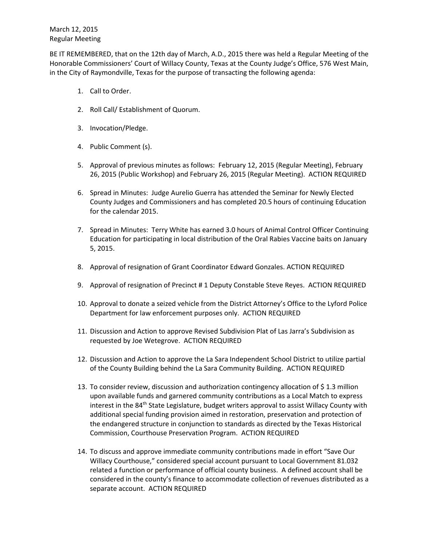BE IT REMEMBERED, that on the 12th day of March, A.D., 2015 there was held a Regular Meeting of the Honorable Commissioners' Court of Willacy County, Texas at the County Judge's Office, 576 West Main, in the City of Raymondville, Texas for the purpose of transacting the following agenda:

- 1. Call to Order.
- 2. Roll Call/ Establishment of Quorum.
- 3. Invocation/Pledge.
- 4. Public Comment (s).
- 5. Approval of previous minutes as follows: February 12, 2015 (Regular Meeting), February 26, 2015 (Public Workshop) and February 26, 2015 (Regular Meeting). ACTION REQUIRED
- 6. Spread in Minutes: Judge Aurelio Guerra has attended the Seminar for Newly Elected County Judges and Commissioners and has completed 20.5 hours of continuing Education for the calendar 2015.
- 7. Spread in Minutes: Terry White has earned 3.0 hours of Animal Control Officer Continuing Education for participating in local distribution of the Oral Rabies Vaccine baits on January 5, 2015.
- 8. Approval of resignation of Grant Coordinator Edward Gonzales. ACTION REQUIRED
- 9. Approval of resignation of Precinct # 1 Deputy Constable Steve Reyes. ACTION REQUIRED
- 10. Approval to donate a seized vehicle from the District Attorney's Office to the Lyford Police Department for law enforcement purposes only. ACTION REQUIRED
- 11. Discussion and Action to approve Revised Subdivision Plat of Las Jarra's Subdivision as requested by Joe Wetegrove. ACTION REQUIRED
- 12. Discussion and Action to approve the La Sara Independent School District to utilize partial of the County Building behind the La Sara Community Building. ACTION REQUIRED
- 13. To consider review, discussion and authorization contingency allocation of \$ 1.3 million upon available funds and garnered community contributions as a Local Match to express interest in the 84<sup>th</sup> State Legislature, budget writers approval to assist Willacy County with additional special funding provision aimed in restoration, preservation and protection of the endangered structure in conjunction to standards as directed by the Texas Historical Commission, Courthouse Preservation Program. ACTION REQUIRED
- 14. To discuss and approve immediate community contributions made in effort "Save Our Willacy Courthouse," considered special account pursuant to Local Government 81.032 related a function or performance of official county business. A defined account shall be considered in the county's finance to accommodate collection of revenues distributed as a separate account. ACTION REQUIRED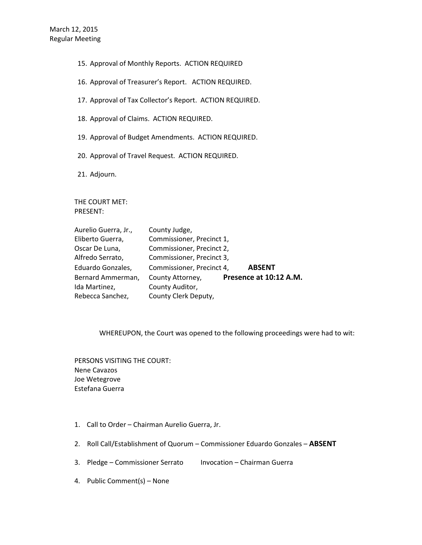- 15. Approval of Monthly Reports. ACTION REQUIRED
- 16. Approval of Treasurer's Report. ACTION REQUIRED.
- 17. Approval of Tax Collector's Report. ACTION REQUIRED.
- 18. Approval of Claims. ACTION REQUIRED.
- 19. Approval of Budget Amendments. ACTION REQUIRED.
- 20. Approval of Travel Request. ACTION REQUIRED.
- 21. Adjourn.

THE COURT MET: PRESENT:

| Aurelio Guerra, Jr., | County Judge,             |                        |
|----------------------|---------------------------|------------------------|
| Eliberto Guerra,     | Commissioner, Precinct 1, |                        |
| Oscar De Luna,       | Commissioner, Precinct 2, |                        |
| Alfredo Serrato,     | Commissioner, Precinct 3, |                        |
| Eduardo Gonzales,    | Commissioner, Precinct 4, | <b>ABSENT</b>          |
| Bernard Ammerman,    | County Attorney,          | Presence at 10:12 A.M. |
| Ida Martinez,        | County Auditor,           |                        |
| Rebecca Sanchez,     | County Clerk Deputy,      |                        |

## WHEREUPON, the Court was opened to the following proceedings were had to wit:

PERSONS VISITING THE COURT: Nene Cavazos Joe Wetegrove Estefana Guerra

- 1. Call to Order Chairman Aurelio Guerra, Jr.
- 2. Roll Call/Establishment of Quorum Commissioner Eduardo Gonzales **ABSENT**
- 3. Pledge Commissioner Serrato Invocation Chairman Guerra
- 4. Public Comment(s) None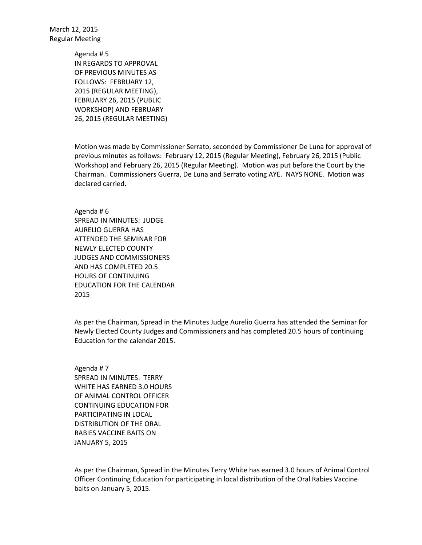> Agenda # 5 IN REGARDS TO APPROVAL OF PREVIOUS MINUTES AS FOLLOWS: FEBRUARY 12, 2015 (REGULAR MEETING), FEBRUARY 26, 2015 (PUBLIC WORKSHOP) AND FEBRUARY 26, 2015 (REGULAR MEETING)

Motion was made by Commissioner Serrato, seconded by Commissioner De Luna for approval of previous minutes as follows: February 12, 2015 (Regular Meeting), February 26, 2015 (Public Workshop) and February 26, 2015 (Regular Meeting). Motion was put before the Court by the Chairman. Commissioners Guerra, De Luna and Serrato voting AYE. NAYS NONE. Motion was declared carried.

Agenda # 6 SPREAD IN MINUTES: JUDGE AURELIO GUERRA HAS ATTENDED THE SEMINAR FOR NEWLY ELECTED COUNTY JUDGES AND COMMISSIONERS AND HAS COMPLETED 20.5 HOURS OF CONTINUING EDUCATION FOR THE CALENDAR 2015

As per the Chairman, Spread in the Minutes Judge Aurelio Guerra has attended the Seminar for Newly Elected County Judges and Commissioners and has completed 20.5 hours of continuing Education for the calendar 2015.

Agenda # 7 SPREAD IN MINUTES: TERRY WHITE HAS EARNED 3.0 HOURS OF ANIMAL CONTROL OFFICER CONTINUING EDUCATION FOR PARTICIPATING IN LOCAL DISTRIBUTION OF THE ORAL RABIES VACCINE BAITS ON JANUARY 5, 2015

As per the Chairman, Spread in the Minutes Terry White has earned 3.0 hours of Animal Control Officer Continuing Education for participating in local distribution of the Oral Rabies Vaccine baits on January 5, 2015.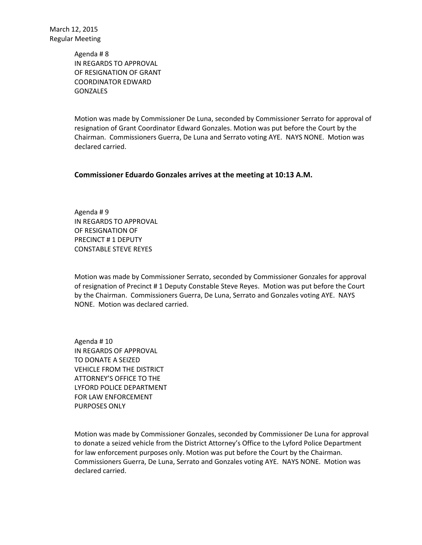> Agenda # 8 IN REGARDS TO APPROVAL OF RESIGNATION OF GRANT COORDINATOR EDWARD **GONZALES**

Motion was made by Commissioner De Luna, seconded by Commissioner Serrato for approval of resignation of Grant Coordinator Edward Gonzales. Motion was put before the Court by the Chairman. Commissioners Guerra, De Luna and Serrato voting AYE. NAYS NONE. Motion was declared carried.

## **Commissioner Eduardo Gonzales arrives at the meeting at 10:13 A.M.**

Agenda # 9 IN REGARDS TO APPROVAL OF RESIGNATION OF PRECINCT # 1 DEPUTY CONSTABLE STEVE REYES

Motion was made by Commissioner Serrato, seconded by Commissioner Gonzales for approval of resignation of Precinct # 1 Deputy Constable Steve Reyes. Motion was put before the Court by the Chairman. Commissioners Guerra, De Luna, Serrato and Gonzales voting AYE. NAYS NONE. Motion was declared carried.

Agenda # 10 IN REGARDS OF APPROVAL TO DONATE A SEIZED VEHICLE FROM THE DISTRICT ATTORNEY'S OFFICE TO THE LYFORD POLICE DEPARTMENT FOR LAW ENFORCEMENT PURPOSES ONLY

Motion was made by Commissioner Gonzales, seconded by Commissioner De Luna for approval to donate a seized vehicle from the District Attorney's Office to the Lyford Police Department for law enforcement purposes only. Motion was put before the Court by the Chairman. Commissioners Guerra, De Luna, Serrato and Gonzales voting AYE. NAYS NONE. Motion was declared carried.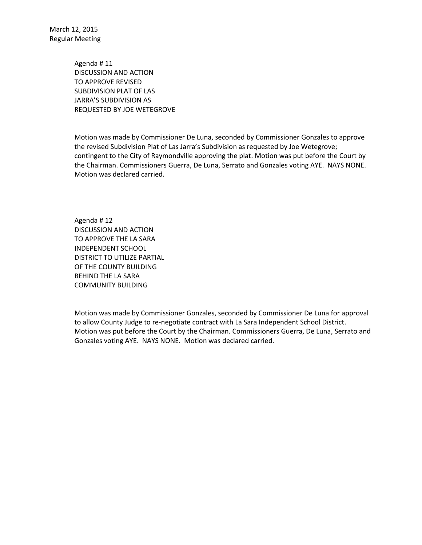> Agenda # 11 DISCUSSION AND ACTION TO APPROVE REVISED SUBDIVISION PLAT OF LAS JARRA'S SUBDIVISION AS REQUESTED BY JOE WETEGROVE

Motion was made by Commissioner De Luna, seconded by Commissioner Gonzales to approve the revised Subdivision Plat of Las Jarra's Subdivision as requested by Joe Wetegrove; contingent to the City of Raymondville approving the plat. Motion was put before the Court by the Chairman. Commissioners Guerra, De Luna, Serrato and Gonzales voting AYE. NAYS NONE. Motion was declared carried.

Agenda # 12 DISCUSSION AND ACTION TO APPROVE THE LA SARA INDEPENDENT SCHOOL DISTRICT TO UTILIZE PARTIAL OF THE COUNTY BUILDING BEHIND THE LA SARA COMMUNITY BUILDING

Motion was made by Commissioner Gonzales, seconded by Commissioner De Luna for approval to allow County Judge to re-negotiate contract with La Sara Independent School District. Motion was put before the Court by the Chairman. Commissioners Guerra, De Luna, Serrato and Gonzales voting AYE. NAYS NONE. Motion was declared carried.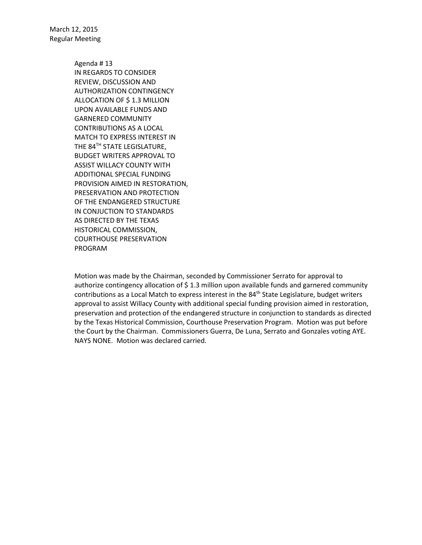> Agenda # 13 IN REGARDS TO CONSIDER REVIEW, DISCUSSION AND AUTHORIZATION CONTINGENCY ALLOCATION OF \$ 1.3 MILLION UPON AVAILABLE FUNDS AND GARNERED COMMUNITY CONTRIBUTIONS AS A LOCAL MATCH TO EXPRESS INTEREST IN THE 84<sup>TH</sup> STATE LEGISLATURE, BUDGET WRITERS APPROVAL TO ASSIST WILLACY COUNTY WITH ADDITIONAL SPECIAL FUNDING PROVISION AIMED IN RESTORATION, PRESERVATION AND PROTECTION OF THE ENDANGERED STRUCTURE IN CONJUCTION TO STANDARDS AS DIRECTED BY THE TEXAS HISTORICAL COMMISSION, COURTHOUSE PRESERVATION PROGRAM

Motion was made by the Chairman, seconded by Commissioner Serrato for approval to authorize contingency allocation of \$ 1.3 million upon available funds and garnered community contributions as a Local Match to express interest in the 84<sup>th</sup> State Legislature, budget writers approval to assist Willacy County with additional special funding provision aimed in restoration, preservation and protection of the endangered structure in conjunction to standards as directed by the Texas Historical Commission, Courthouse Preservation Program. Motion was put before the Court by the Chairman. Commissioners Guerra, De Luna, Serrato and Gonzales voting AYE. NAYS NONE. Motion was declared carried.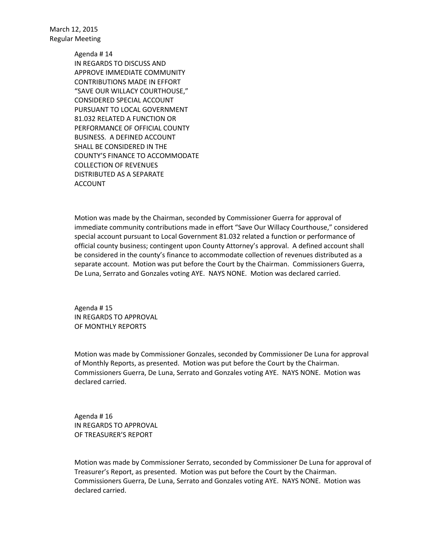> Agenda # 14 IN REGARDS TO DISCUSS AND APPROVE IMMEDIATE COMMUNITY CONTRIBUTIONS MADE IN EFFORT "SAVE OUR WILLACY COURTHOUSE," CONSIDERED SPECIAL ACCOUNT PURSUANT TO LOCAL GOVERNMENT 81.032 RELATED A FUNCTION OR PERFORMANCE OF OFFICIAL COUNTY BUSINESS. A DEFINED ACCOUNT SHALL BE CONSIDERED IN THE COUNTY'S FINANCE TO ACCOMMODATE COLLECTION OF REVENUES DISTRIBUTED AS A SEPARATE ACCOUNT

Motion was made by the Chairman, seconded by Commissioner Guerra for approval of immediate community contributions made in effort "Save Our Willacy Courthouse," considered special account pursuant to Local Government 81.032 related a function or performance of official county business; contingent upon County Attorney's approval. A defined account shall be considered in the county's finance to accommodate collection of revenues distributed as a separate account. Motion was put before the Court by the Chairman. Commissioners Guerra, De Luna, Serrato and Gonzales voting AYE. NAYS NONE. Motion was declared carried.

Agenda # 15 IN REGARDS TO APPROVAL OF MONTHLY REPORTS

Motion was made by Commissioner Gonzales, seconded by Commissioner De Luna for approval of Monthly Reports, as presented. Motion was put before the Court by the Chairman. Commissioners Guerra, De Luna, Serrato and Gonzales voting AYE. NAYS NONE. Motion was declared carried.

Agenda # 16 IN REGARDS TO APPROVAL OF TREASURER'S REPORT

Motion was made by Commissioner Serrato, seconded by Commissioner De Luna for approval of Treasurer's Report, as presented. Motion was put before the Court by the Chairman. Commissioners Guerra, De Luna, Serrato and Gonzales voting AYE. NAYS NONE. Motion was declared carried.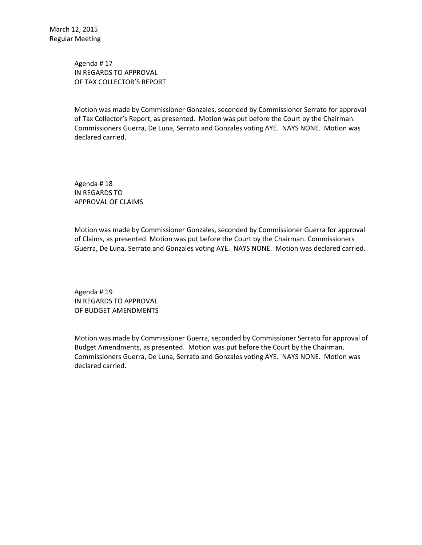Agenda # 17 IN REGARDS TO APPROVAL OF TAX COLLECTOR'S REPORT

Motion was made by Commissioner Gonzales, seconded by Commissioner Serrato for approval of Tax Collector's Report, as presented. Motion was put before the Court by the Chairman. Commissioners Guerra, De Luna, Serrato and Gonzales voting AYE. NAYS NONE. Motion was declared carried.

Agenda # 18 IN REGARDS TO APPROVAL OF CLAIMS

Motion was made by Commissioner Gonzales, seconded by Commissioner Guerra for approval of Claims, as presented. Motion was put before the Court by the Chairman. Commissioners Guerra, De Luna, Serrato and Gonzales voting AYE. NAYS NONE. Motion was declared carried.

Agenda # 19 IN REGARDS TO APPROVAL OF BUDGET AMENDMENTS

Motion was made by Commissioner Guerra, seconded by Commissioner Serrato for approval of Budget Amendments, as presented. Motion was put before the Court by the Chairman. Commissioners Guerra, De Luna, Serrato and Gonzales voting AYE. NAYS NONE. Motion was declared carried.